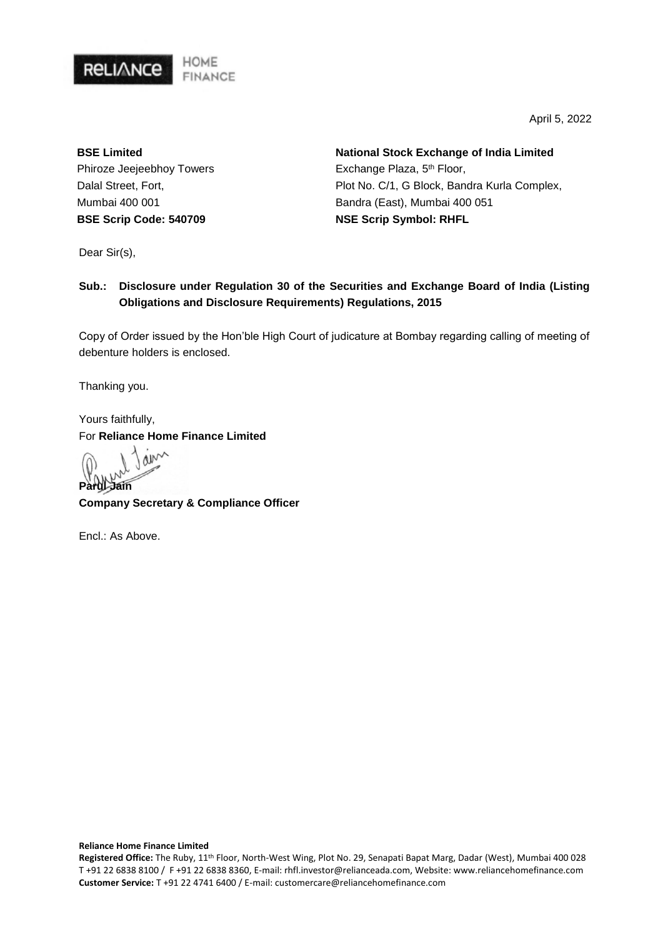

April 5, 2022

**BSE Limited** Phiroze Jeejeebhoy Towers Dalal Street, Fort, Mumbai 400 001 **BSE Scrip Code: 540709**

**National Stock Exchange of India Limited** Exchange Plaza, 5<sup>th</sup> Floor, Plot No. C/1, G Block, Bandra Kurla Complex, Bandra (East), Mumbai 400 051 **NSE Scrip Symbol: RHFL**

Dear Sir(s),

### **Sub.: Disclosure under Regulation 30 of the Securities and Exchange Board of India (Listing Obligations and Disclosure Requirements) Regulations, 2015**

Copy of Order issued by the Hon'ble High Court of judicature at Bombay regarding calling of meeting of debenture holders is enclosed.

Thanking you.

Yours faithfully, For **Reliance Home Finance Limited**

ain **Parul Jain**

**Company Secretary & Compliance Officer** 

Encl.: As Above.

#### **Reliance Home Finance Limited**

**Registered Office:** The Ruby, 11th Floor, North-West Wing, Plot No. 29, Senapati Bapat Marg, Dadar (West), Mumbai 400 028 T +91 22 6838 8100 / F +91 22 6838 8360, E-mail: rhfl.investor@relianceada.com, Website: www.reliancehomefinance.com **Customer Service:** T +91 22 4741 6400 / E-mail: customercare@reliancehomefinance.com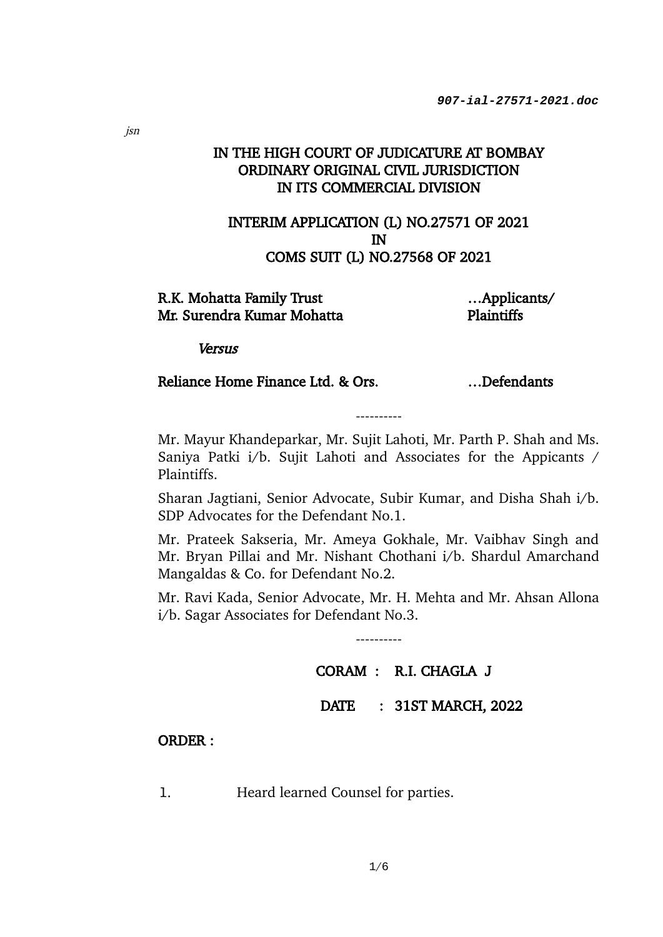## IN THE HIGH COURT OF JUDICATURE AT BOMBAY ORDINARY ORIGINAL CIVIL JURISDICTION IN ITS COMMERCIAL DIVISION

## INTERIM APPLICATION (L) NO.27571 OF 2021 IN COMS SUIT (L) NO.27568 OF 2021

### R.K. Mohatta Family Trust Mr. Surendra Kumar Mohatta

…Applicants/ Plaintiffs

**Versus** 

## Reliance Home Finance Ltd. & Ors. ... Defendants

Mr. Mayur Khandeparkar, Mr. Sujit Lahoti, Mr. Parth P. Shah and Ms. Saniya Patki i/b. Sujit Lahoti and Associates for the Appicants / Plaintiffs.

----------

Sharan Jagtiani, Senior Advocate, Subir Kumar, and Disha Shah i/b. SDP Advocates for the Defendant No.1.

Mr. Prateek Sakseria, Mr. Ameya Gokhale, Mr. Vaibhav Singh and Mr. Bryan Pillai and Mr. Nishant Chothani i/b. Shardul Amarchand Mangaldas & Co. for Defendant No.2.

Mr. Ravi Kada, Senior Advocate, Mr. H. Mehta and Mr. Ahsan Allona i/b. Sagar Associates for Defendant No.3.

----------

# CORAM : R.I. CHAGLA J

## DATE : 31ST MARCH, 2022

### ORDER :

1. Heard learned Counsel for parties.

jsn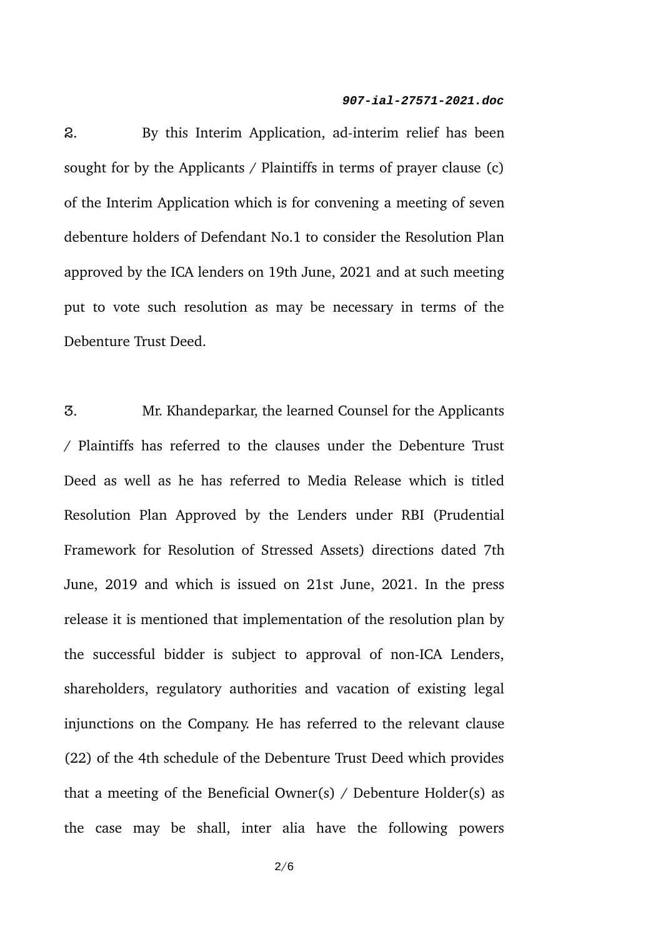2. By this Interim Application, ad-interim relief has been sought for by the Applicants / Plaintiffs in terms of prayer clause (c) of the Interim Application which is for convening a meeting of seven debenture holders of Defendant No.1 to consider the Resolution Plan approved by the ICA lenders on 19th June, 2021 and at such meeting put to vote such resolution as may be necessary in terms of the Debenture Trust Deed.

3. Mr. Khandeparkar, the learned Counsel for the Applicants / Plaintiffs has referred to the clauses under the Debenture Trust Deed as well as he has referred to Media Release which is titled Resolution Plan Approved by the Lenders under RBI (Prudential Framework for Resolution of Stressed Assets) directions dated 7th June, 2019 and which is issued on 21st June, 2021. In the press release it is mentioned that implementation of the resolution plan by the successful bidder is subject to approval of non-ICA Lenders, shareholders, regulatory authorities and vacation of existing legal injunctions on the Company. He has referred to the relevant clause (22) of the 4th schedule of the Debenture Trust Deed which provides that a meeting of the Beneficial Owner(s) / Debenture  $Holder(s)$  as the case may be shall, inter alia have the following powers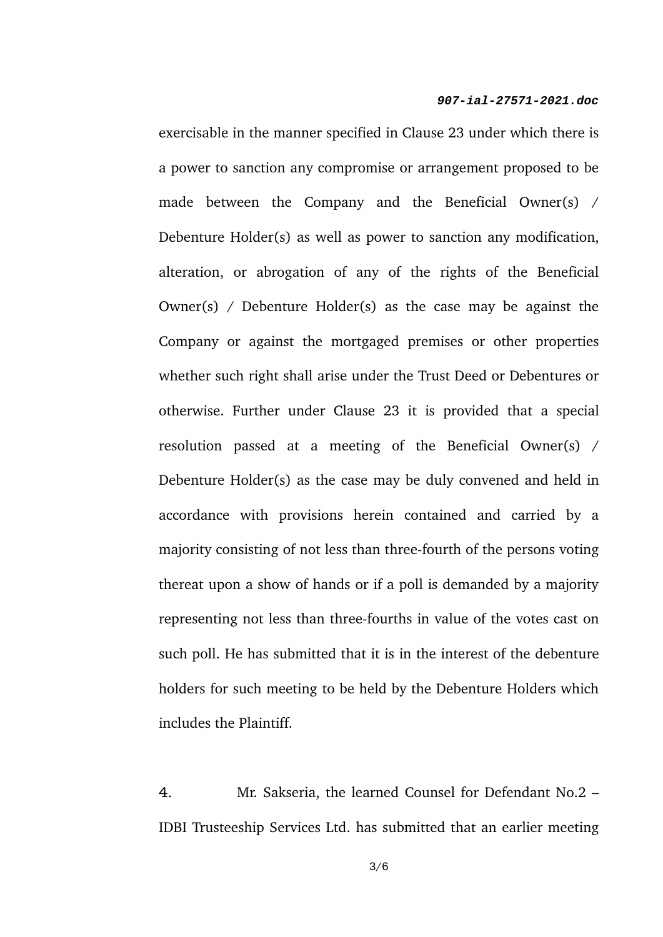exercisable in the manner specified in Clause 23 under which there is a power to sanction any compromise or arrangement proposed to be made between the Company and the Beneficial Owner(s) / Debenture Holder(s) as well as power to sanction any modification, alteration, or abrogation of any of the rights of the Beneficial Owner(s) / Debenture Holder(s) as the case may be against the Company or against the mortgaged premises or other properties whether such right shall arise under the Trust Deed or Debentures or otherwise. Further under Clause 23 it is provided that a special resolution passed at a meeting of the Beneficial Owner(s) / Debenture Holder(s) as the case may be duly convened and held in accordance with provisions herein contained and carried by a majority consisting of not less than three-fourth of the persons voting thereat upon a show of hands or if a poll is demanded by a majority representing not less than three-fourths in value of the votes cast on such poll. He has submitted that it is in the interest of the debenture holders for such meeting to be held by the Debenture Holders which includes the Plaintiff.

4. Mr. Sakseria, the learned Counsel for Defendant No.2 – IDBI Trusteeship Services Ltd. has submitted that an earlier meeting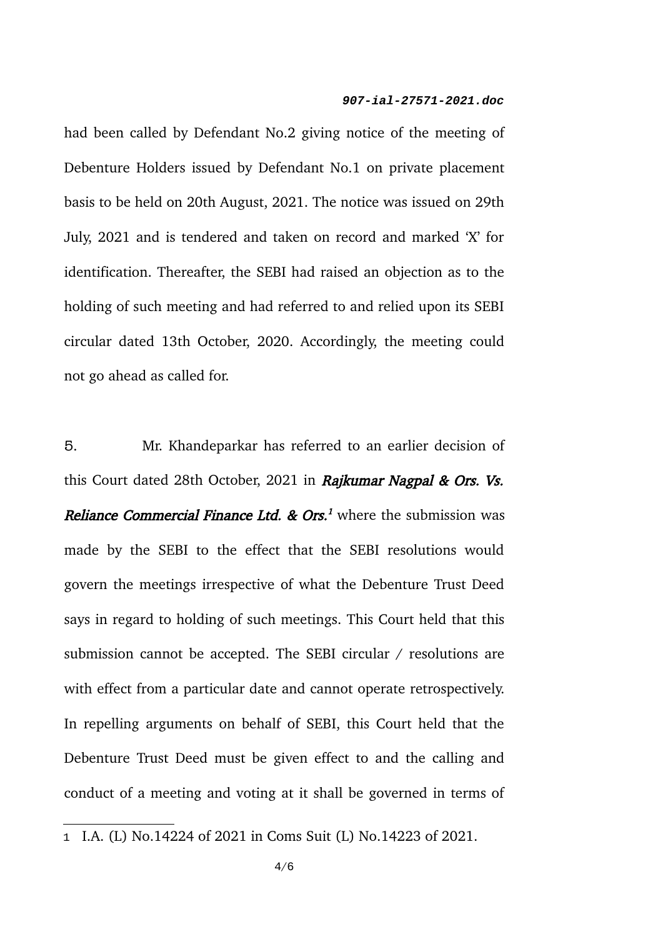had been called by Defendant No.2 giving notice of the meeting of Debenture Holders issued by Defendant No.1 on private placement basis to be held on 20th August, 2021. The notice was issued on 29th July, 2021 and is tendered and taken on record and marked 'X' for identification. Thereafter, the SEBI had raised an objection as to the holding of such meeting and had referred to and relied upon its SEBI circular dated 13th October, 2020. Accordingly, the meeting could not go ahead as called for.

5. Mr. Khandeparkar has referred to an earlier decision of this Court dated 28th October, 2021 in Rajkumar Nagpal & Ors. Vs. *Reliance Commercial Finance Ltd. & Ors.<sup>[1](#page-4-0)</sup>* where the submission was made by the SEBI to the effect that the SEBI resolutions would govern the meetings irrespective of what the Debenture Trust Deed says in regard to holding of such meetings. This Court held that this submission cannot be accepted. The SEBI circular / resolutions are with effect from a particular date and cannot operate retrospectively. In repelling arguments on behalf of SEBI, this Court held that the Debenture Trust Deed must be given effect to and the calling and conduct of a meeting and voting at it shall be governed in terms of

<span id="page-4-0"></span><sup>1</sup> I.A. (L) No.14224 of 2021 in Coms Suit (L) No.14223 of 2021.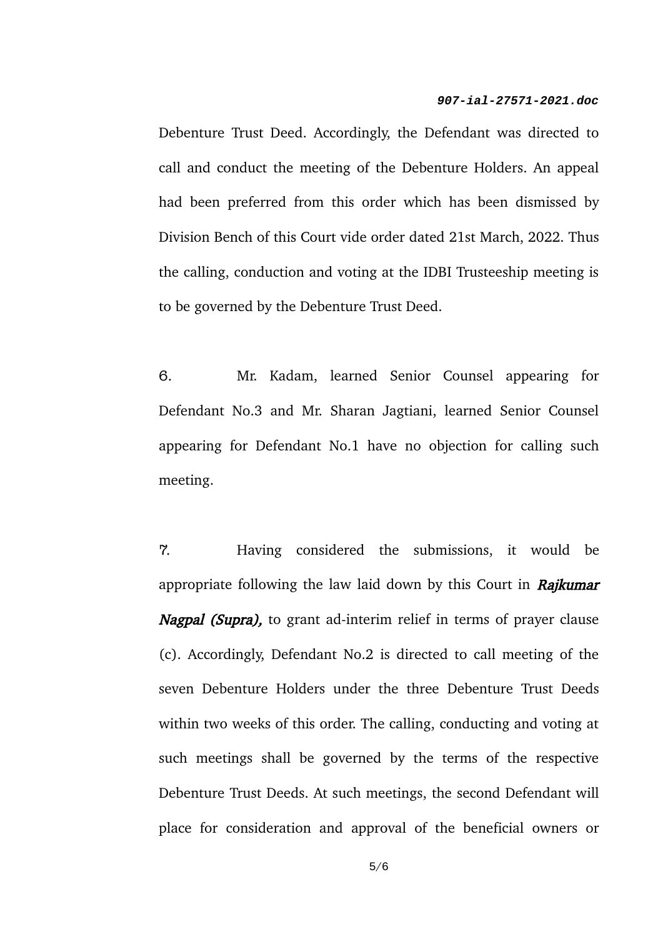Debenture Trust Deed. Accordingly, the Defendant was directed to call and conduct the meeting of the Debenture Holders. An appeal had been preferred from this order which has been dismissed by Division Bench of this Court vide order dated 21st March, 2022. Thus the calling, conduction and voting at the IDBI Trusteeship meeting is to be governed by the Debenture Trust Deed.

6. Mr. Kadam, learned Senior Counsel appearing for Defendant No.3 and Mr. Sharan Jagtiani, learned Senior Counsel appearing for Defendant No.1 have no objection for calling such meeting.

7. Having considered the submissions, it would be appropriate following the law laid down by this Court in Rajkumar Nagpal (Supra), to grant ad-interim relief in terms of prayer clause (c). Accordingly, Defendant No.2 is directed to call meeting of the seven Debenture Holders under the three Debenture Trust Deeds within two weeks of this order. The calling, conducting and voting at such meetings shall be governed by the terms of the respective Debenture Trust Deeds. At such meetings, the second Defendant will place for consideration and approval of the beneficial owners or